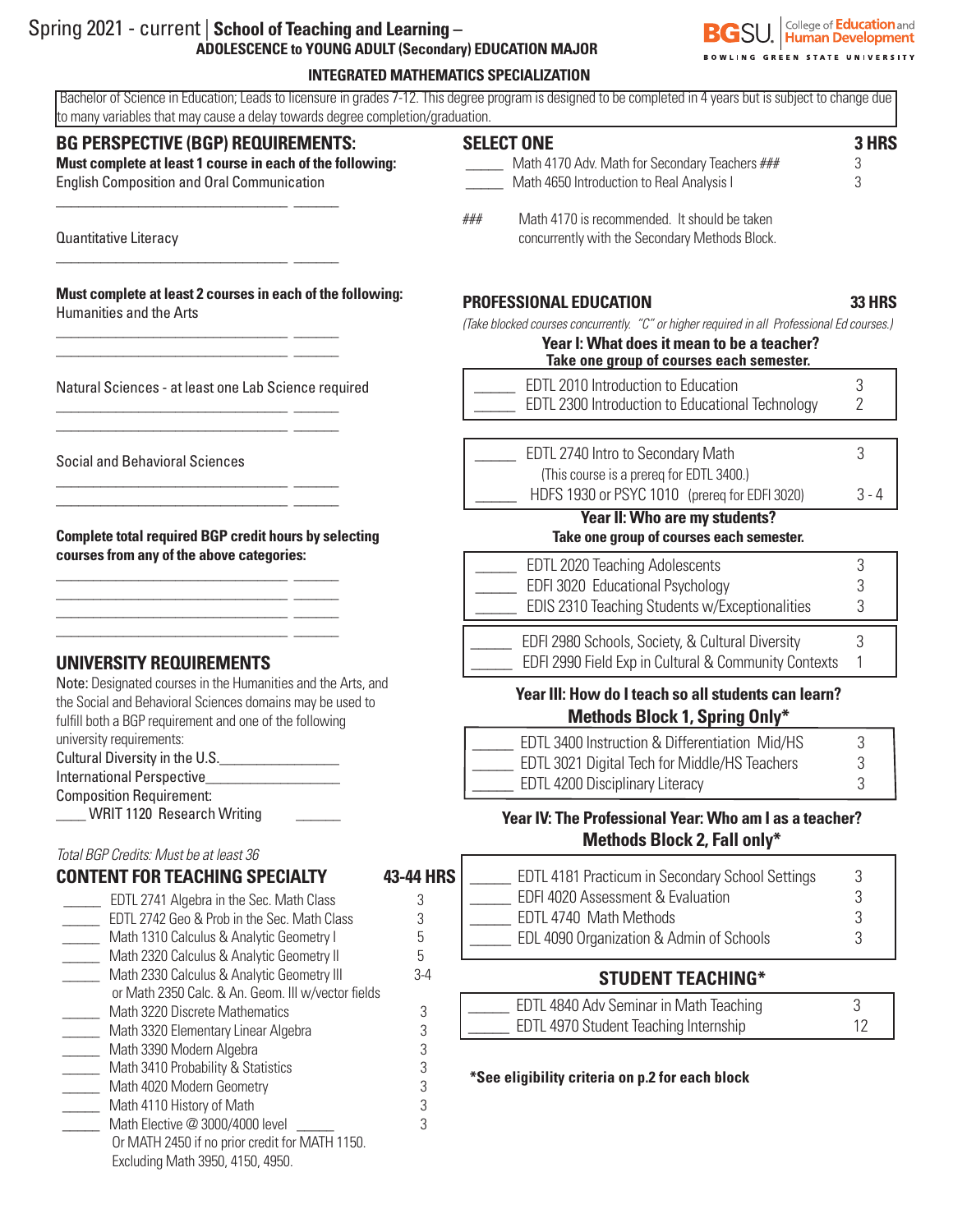| Spring 2021 - current   School of Teaching and Learning –   |
|-------------------------------------------------------------|
| <b>ADOLESCENCE to YOUNG ADULT (Secondary) EDUCATION MAJ</b> |

 \_\_\_\_\_ Math 3390 Modern Algebra 3 \_\_\_\_\_ Math 3410 Probability & Statistics 3 Math 3410 Probability & Statistics<br>
Math 4020 Modern Geometry<br>
Math 4110 History of Math 3 \_\_\_\_\_\_<br>Math 4110 History of Math<br>Math Elective @ 3000/4000 level 33

Or MATH 2450 if no prior credit for MATH 1150.

Math Elective  $@3000/4000$  level

Excluding Math 3950, 4150, 4950.



| Spring 2021 - current   School of Teaching and Learning –<br>ADOLESCENCE to YOUNG ADULT (Secondary) EDUCATION MAJOR                                                                  | <b>BOWLING GREEN STATE UNIVERSIT</b>                                                                                                                                                  | College of <b>Education</b> are |  |  |  |
|--------------------------------------------------------------------------------------------------------------------------------------------------------------------------------------|---------------------------------------------------------------------------------------------------------------------------------------------------------------------------------------|---------------------------------|--|--|--|
|                                                                                                                                                                                      | <b>INTEGRATED MATHEMATICS SPECIALIZATION</b>                                                                                                                                          |                                 |  |  |  |
| to many variables that may cause a delay towards degree completion/graduation.                                                                                                       | Bachelor of Science in Education; Leads to licensure in grades 7-12. This degree program is designed to be completed in 4 years but is subject to change due                          |                                 |  |  |  |
| <b>BG PERSPECTIVE (BGP) REQUIREMENTS:</b><br>Must complete at least 1 course in each of the following:<br><b>English Composition and Oral Communication</b>                          | <b>SELECT ONE</b><br>Math 4170 Adv. Math for Secondary Teachers ###<br>Math 4650 Introduction to Real Analysis I                                                                      | 3 HRS<br>3<br>3                 |  |  |  |
| Quantitative Literacy                                                                                                                                                                | Math 4170 is recommended. It should be taken<br>###<br>concurrently with the Secondary Methods Block.                                                                                 |                                 |  |  |  |
| Must complete at least 2 courses in each of the following:<br>Humanities and the Arts                                                                                                | <b>PROFESSIONAL EDUCATION</b>                                                                                                                                                         | <b>33 HRS</b>                   |  |  |  |
|                                                                                                                                                                                      | (Take blocked courses concurrently. "C" or higher required in all Professional Ed courses.)<br>Year I: What does it mean to be a teacher?<br>Take one group of courses each semester. |                                 |  |  |  |
| Natural Sciences - at least one Lab Science required                                                                                                                                 | EDTL 2010 Introduction to Education<br>EDTL 2300 Introduction to Educational Technology                                                                                               | 3<br>2<br>3<br>$3 - 4$          |  |  |  |
| <b>Social and Behavioral Sciences</b>                                                                                                                                                | EDTL 2740 Intro to Secondary Math<br>(This course is a prereq for EDTL 3400.)<br>HDFS 1930 or PSYC 1010 (prereq for EDFI 3020)                                                        |                                 |  |  |  |
|                                                                                                                                                                                      | <b>Year II: Who are my students?</b>                                                                                                                                                  |                                 |  |  |  |
| <b>Complete total required BGP credit hours by selecting</b><br>courses from any of the above categories:                                                                            | Take one group of courses each semester.                                                                                                                                              |                                 |  |  |  |
|                                                                                                                                                                                      | EDTL 2020 Teaching Adolescents<br>EDFI 3020 Educational Psychology<br>EDIS 2310 Teaching Students w/Exceptionalities                                                                  | 3<br>3<br>3                     |  |  |  |
| UNIVERSITY REQUIREMENTS                                                                                                                                                              | EDFI 2980 Schools, Society, & Cultural Diversity<br>EDFI 2990 Field Exp in Cultural & Community Contexts                                                                              | 3                               |  |  |  |
| Note: Designated courses in the Humanities and the Arts, and<br>the Social and Behavioral Sciences domains may be used to<br>fulfill both a BGP requirement and one of the following | Year III: How do I teach so all students can learn?<br><b>Methods Block 1, Spring Only*</b>                                                                                           |                                 |  |  |  |
| university requirements:<br>Cultural Diversity in the U.S.<br><b>International Perspective</b><br><b>Composition Requirement:</b>                                                    | EDTL 3400 Instruction & Differentiation Mid/HS<br>EDTL 3021 Digital Tech for Middle/HS Teachers<br>EDTL 4200 Disciplinary Literacy                                                    | 3<br>3<br>3                     |  |  |  |
| WRIT 1120 Research Writing                                                                                                                                                           | Year IV: The Professional Year: Who am I as a teacher?<br>Methods Block 2, Fall only*                                                                                                 |                                 |  |  |  |
| Total BGP Credits: Must be at least 36                                                                                                                                               |                                                                                                                                                                                       |                                 |  |  |  |
| 43-44 HRS<br><b>CONTENT FOR TEACHING SPECIALTY</b>                                                                                                                                   | EDTL 4181 Practicum in Secondary School Settings<br>EDFI 4020 Assessment & Evaluation                                                                                                 | 3<br>3                          |  |  |  |
| <b>EDTL 2741 Algebra in the Sec. Math Class</b><br>3<br>EDTL 2742 Geo & Prob in the Sec. Math Class<br>3                                                                             | EDTL 4740 Math Methods                                                                                                                                                                | 3                               |  |  |  |
| Math 1310 Calculus & Analytic Geometry I<br>5                                                                                                                                        | EDL 4090 Organization & Admin of Schools                                                                                                                                              | 3                               |  |  |  |
| 5<br>Math 2320 Calculus & Analytic Geometry II                                                                                                                                       |                                                                                                                                                                                       |                                 |  |  |  |
| Math 2330 Calculus & Analytic Geometry III<br>$3-4$                                                                                                                                  | <b>STUDENT TEACHING*</b>                                                                                                                                                              |                                 |  |  |  |
| or Math 2350 Calc. & An. Geom. III w/vector fields<br>Math 3220 Discrete Mathematics<br>3                                                                                            | EDTL 4840 Adv Seminar in Math Teaching                                                                                                                                                | 3                               |  |  |  |
| Math 3320 Elementary Linear Algebra<br>3                                                                                                                                             | EDTL 4970 Student Teaching Internship                                                                                                                                                 | 12                              |  |  |  |
| 3<br>Math 3390 Modern Algebra                                                                                                                                                        |                                                                                                                                                                                       |                                 |  |  |  |

 **\*See eligibility criteria on p.2 for each block**